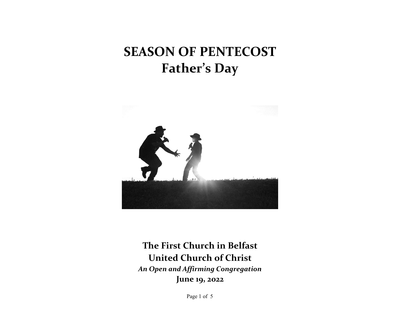# **SEASON OF PENTECOST Father's Day**



**The First Church in Belfast United Church of Christ** *An Open and Affirming Congregation* **June 19, 2022**

Page 1 of 5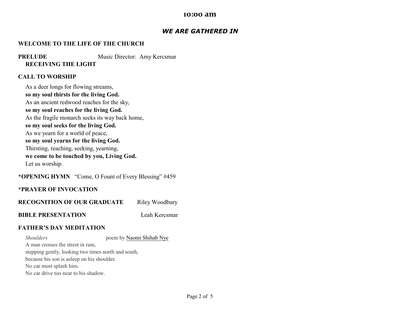#### **10:00 am**

## *WE ARE GATHERED IN*

## **WELCOME TO THE LIFE OF THE CHURCH**

**PRELUDE** Music Director: Amy Kercsmar **RECEIVING THE LIGHT**

#### **CALL TO WORSHIP**

As a deer longs for flowing streams, **so my soul thirsts for the living God.** As an ancient redwood reaches for the sky, **so my soul reaches for the living God.** As the fragile monarch seeks its way back home, **so my soul seeks for the living God.** As we yearn for a world of peace, **so my soul yearns for the living God.** Thirsting, reaching, seeking, yearning, **we come to be touched by you, Living God.** Let us worship.

## **\*OPENING HYMN** "Come, O Fount of Every Blessing" #459

## **\*PRAYER OF INVOCATION**

**RECOGNITION OF OUR GRADUATE** Riley Woodbury

**BIBLE PRESENTATION** Leah Kercsmar

## **FATHER'S DAY MEDITATION**

**Shoulders poem by [Naomi Shihab Nye](https://poets.org/poet/naomi-shihab-nye)** A man crosses the street in rain, stepping gently, looking two times north and south, because his son is asleep on his shoulder. No car must splash him. No car drive too near to his shadow.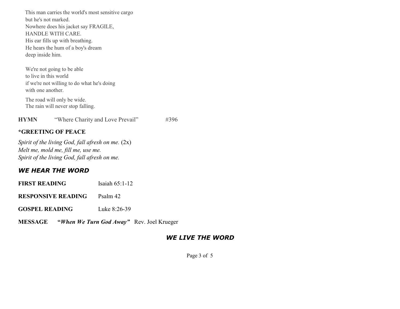This man carries the world's most sensitive cargo but he's not marked. Nowhere does his jacket say FRAGILE, HANDLE WITH CARE. His ear fills up with breathing. He hears the hum of a boy's dream deep inside him.

We're not going to be able to live in this world if we're not willing to do what he's doing with one another.

The road will only be wide. The rain will never stop falling.

**HYMN** "Where Charity and Love Prevail" #396

## **\*GREETING OF PEACE**

*Spirit of the living God, fall afresh on me.*  $(2x)$ *Melt me, mold me, fill me, use me. Spirit of the living God, fall afresh on me.*

## *WE HEAR THE WORD*

**FIRST READING** Isaiah 65:1-12

**RESPONSIVE READING** Psalm 42

**GOSPEL READING** Luke 8:26-39

**MESSAGE "***When We Turn God Away"*Rev. Joel Krueger

## *WE LIVE THE WORD*

Page 3 of 5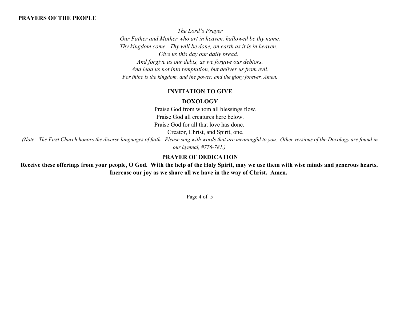## **PRAYERS OF THE PEOPLE**

*The Lord's Prayer Our Father and Mother who art in heaven, hallowed be thy name. Thy kingdom come. Thy will be done, on earth as it is in heaven. Give us this day our daily bread. And forgive us our debts, as we forgive our debtors. And lead us not into temptation, but deliver us from evil. For thine is the kingdom, and the power, and the glory forever. Amen.*

## **INVITATION TO GIVE**

#### **DOXOLOGY**

Praise God from whom all blessings flow. Praise God all creatures here below. Praise God for all that love has done.

Creator, Christ, and Spirit, one.

*(Note: The First Church honors the diverse languages of faith. Please sing with words that are meaningful to you. Other versions of the Doxology are found in our hymnal, #776-781.)*

## **PRAYER OF DEDICATION**

**Receive these offerings from your people, O God. With the help of the Holy Spirit, may we use them with wise minds and generous hearts. Increase our joy as we share all we have in the way of Christ. Amen.** 

Page 4 of 5